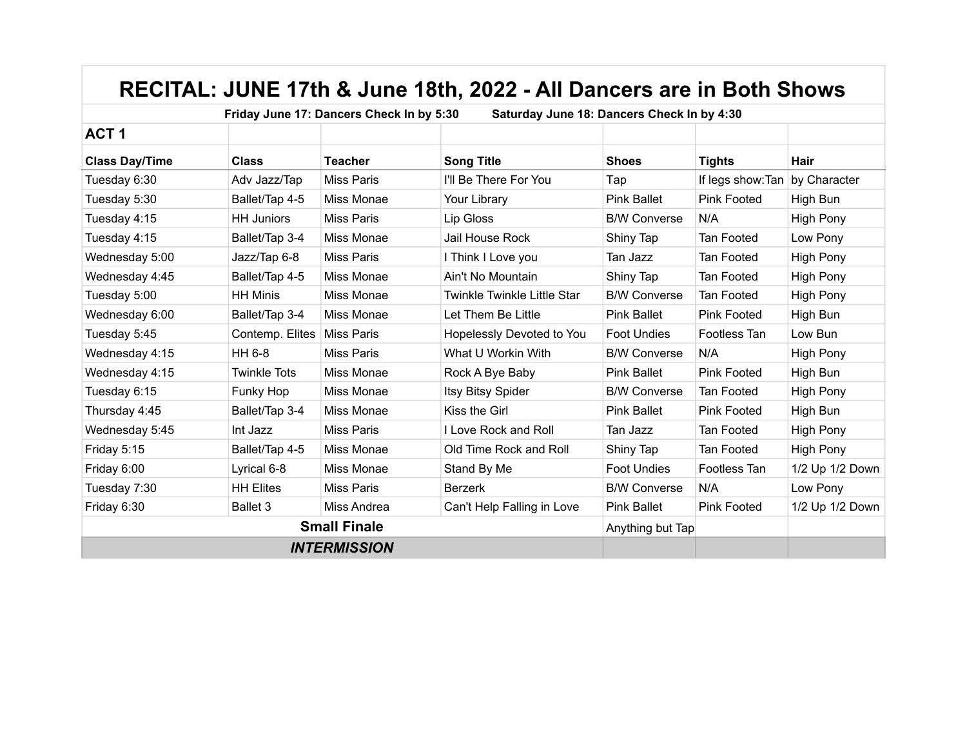|                       |                     | Friday June 17: Dancers Check In by 5:30 | Saturday June 18: Dancers Check In by 4:30 |                     |                    |                  |
|-----------------------|---------------------|------------------------------------------|--------------------------------------------|---------------------|--------------------|------------------|
| ACT <sub>1</sub>      |                     |                                          |                                            |                     |                    |                  |
| <b>Class Day/Time</b> | <b>Class</b>        | <b>Teacher</b>                           | <b>Song Title</b>                          | <b>Shoes</b>        | <b>Tights</b>      | Hair             |
| Tuesday 6:30          | Adv Jazz/Tap        | <b>Miss Paris</b>                        | I'll Be There For You                      | Tap                 | If legs show: Tan  | by Character     |
| Tuesday 5:30          | Ballet/Tap 4-5      | Miss Monae                               | Your Library                               | <b>Pink Ballet</b>  | <b>Pink Footed</b> | High Bun         |
| Tuesday 4:15          | <b>HH Juniors</b>   | <b>Miss Paris</b>                        | Lip Gloss                                  | <b>B/W Converse</b> | N/A                | <b>High Pony</b> |
| Tuesday 4:15          | Ballet/Tap 3-4      | Miss Monae                               | Jail House Rock                            | Shiny Tap           | Tan Footed         | Low Pony         |
| Wednesday 5:00        | Jazz/Tap 6-8        | <b>Miss Paris</b>                        | I Think I Love you                         | Tan Jazz            | Tan Footed         | <b>High Pony</b> |
| Wednesday 4:45        | Ballet/Tap 4-5      | Miss Monae                               | Ain't No Mountain                          | Shiny Tap           | Tan Footed         | <b>High Pony</b> |
| Tuesday 5:00          | <b>HH Minis</b>     | Miss Monae                               | <b>Twinkle Twinkle Little Star</b>         | <b>B/W Converse</b> | Tan Footed         | <b>High Pony</b> |
| Wednesday 6:00        | Ballet/Tap 3-4      | Miss Monae                               | Let Them Be Little                         | <b>Pink Ballet</b>  | Pink Footed        | High Bun         |
| Tuesday 5:45          | Contemp. Elites     | <b>Miss Paris</b>                        | Hopelessly Devoted to You                  | <b>Foot Undies</b>  | Footless Tan       | Low Bun          |
| Wednesday 4:15        | HH 6-8              | <b>Miss Paris</b>                        | What U Workin With                         | <b>B/W Converse</b> | N/A                | <b>High Pony</b> |
| Wednesday 4:15        | <b>Twinkle Tots</b> | Miss Monae                               | Rock A Bye Baby                            | <b>Pink Ballet</b>  | <b>Pink Footed</b> | High Bun         |
| Tuesday 6:15          | Funky Hop           | Miss Monae                               | Itsy Bitsy Spider                          | <b>B/W Converse</b> | Tan Footed         | <b>High Pony</b> |
| Thursday 4:45         | Ballet/Tap 3-4      | Miss Monae                               | Kiss the Girl                              | <b>Pink Ballet</b>  | <b>Pink Footed</b> | High Bun         |
| Wednesday 5:45        | Int Jazz            | <b>Miss Paris</b>                        | I Love Rock and Roll                       | Tan Jazz            | Tan Footed         | High Pony        |
| Friday 5:15           | Ballet/Tap 4-5      | Miss Monae                               | Old Time Rock and Roll                     | Shiny Tap           | Tan Footed         | <b>High Pony</b> |
| Friday 6:00           | Lyrical 6-8         | Miss Monae                               | Stand By Me                                | <b>Foot Undies</b>  | Footless Tan       | 1/2 Up 1/2 Down  |
| Tuesday 7:30          | <b>HH Elites</b>    | <b>Miss Paris</b>                        | <b>Berzerk</b>                             | <b>B/W Converse</b> | N/A                | Low Pony         |
| Friday 6:30           | <b>Ballet 3</b>     | Miss Andrea                              | Can't Help Falling in Love                 | <b>Pink Ballet</b>  | <b>Pink Footed</b> | 1/2 Up 1/2 Down  |
|                       | Anything but Tap    |                                          |                                            |                     |                    |                  |
|                       |                     |                                          |                                            |                     |                    |                  |